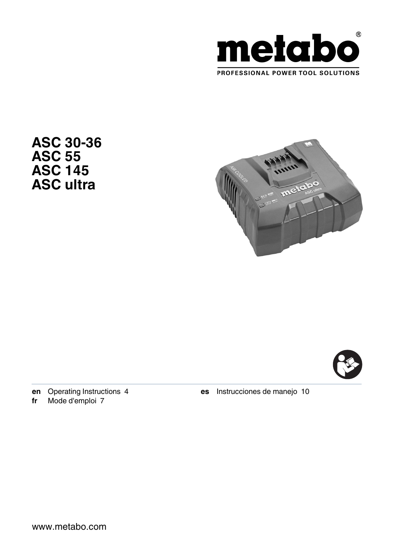

**ASC 30-36 ASC 55 ASC 145 ASC ultra**





**en** [Operating Instructions 4](#page-3-0) **fr** [Mode d'emploi 7](#page-6-0)

**es** [Instrucciones de manejo 10](#page-9-0)

www.metabo.com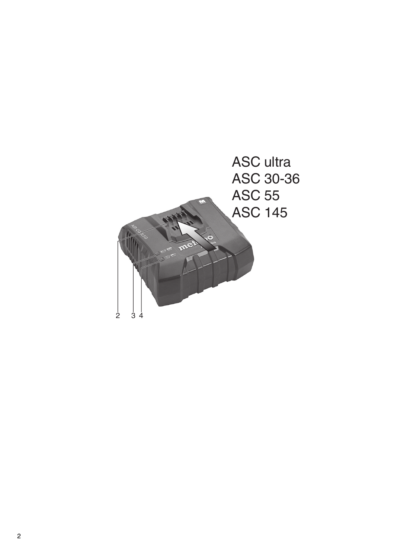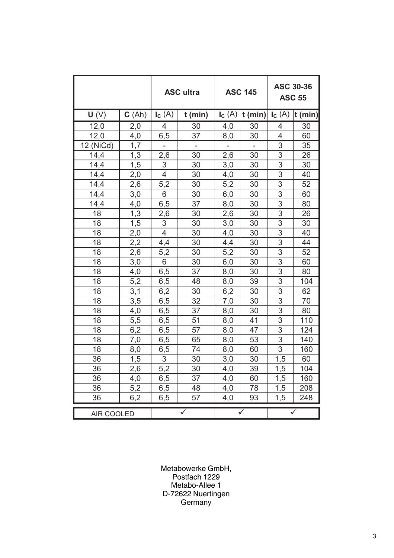|            |                  | <b>ASC</b> ultra |           | <b>ASC 145</b> |           | ASC 30-36<br><b>ASC 55</b> |           |
|------------|------------------|------------------|-----------|----------------|-----------|----------------------------|-----------|
| U(V)       | C(Ah)            | $I_c(A)$         | $t$ (min) | $I_c(A)$       | $t$ (min) | $I_c(A)$                   | $t$ (min) |
| 12,0       | 2,0              | 4                | 30        | 4,0            | 30        | 4                          | 30        |
| 12,0       | 4,0              | 6,5              | 37        | 8,0            | 30        | 4                          | 60        |
| 12 (NiCd)  | 1.7              |                  |           |                |           | 3                          | 35        |
| 14,4       | 1,3              | 2,6              | 30        | 2,6            | 30        | 3                          | 26        |
| 14,4       | 1,5              | 3                | 30        | 3,0            | 30        | 3                          | 30        |
| 14,4       | 2,0              | $\overline{4}$   | 30        | 4,0            | 30        | $\overline{3}$             | 40        |
| 14,4       | 2,6              | 5,2              | 30        | 5,2            | 30        | 3                          | 52        |
| 14,4       | 3,0              | 6                | 30        | 6,0            | 30        | $\overline{3}$             | 60        |
| 14,4       | 4,0              | 6,5              | 37        | 8,0            | 30        | $\overline{3}$             | 80        |
| 18         | 1,3              | 2,6              | 30        | 2,6            | 30        | 3                          | 26        |
| 18         | 1,5              | 3                | 30        | 3,0            | 30        | 3                          | 30        |
| 18         | 2,0              | 4                | 30        | 4,0            | 30        | 3                          | 40        |
| 18         | 2,2              | 4,4              | 30        | 4,4            | 30        | $\overline{3}$             | 44        |
| 18         | 2,6              | 5,2              | 30        | 5,2            | 30        | 3                          | 52        |
| 18         | 3,0              | 6                | 30        | 6,0            | 30        | 3                          | 60        |
| 18         | 4,0              | 6, 5             | 37        | 8,0            | 30        | $\overline{3}$             | 80        |
| 18         | 5,2              | 6, 5             | 48        | 8,0            | 39        | $\overline{3}$             | 104       |
| 18         | 3,1              | 6,2              | 30        | 6,2            | 30        | $\overline{3}$             | 62        |
| 18         | 3,5              | 6,5              | 32        | 7,0            | 30        | $\overline{3}$             | 70        |
| 18         | 4,0              | 6,5              | 37        | 8,0            | 30        | 3                          | 80        |
| 18         | 5,5              | 6,5              | 51        | 8,0            | 41        | 3                          | 110       |
| 18         | 6,2              | 6,5              | 57        | 8,0            | 47        | 3                          | 124       |
| 18         | 7,0              | 6,5              | 65        | 8,0            | 53        | 3                          | 140       |
| 18         | 8,0              | $6,\overline{5}$ | 74        | 8,0            | 60        | $\overline{3}$             | 160       |
| 36         | 1,5              | 3                | 30        | 3,0            | 30        | 1,5                        | 60        |
| 36         | 2,6              | 5,2              | 30        | 4,0            | 39        | 1,5                        | 104       |
| 36         | 4,0              | 6, 5             | 37        | 4,0            | 60        | 1,5                        | 160       |
| 36         | 5,2              | 6,5              | 48        | 4,0            | 78        | 1,5                        | 208       |
| 36         | $6,\overline{2}$ | 6,5              | 57        | 4,0            | 93        | 1,5                        | 248       |
| AIR COOLED |                  | ✓                |           | ✓              |           |                            |           |

Metabowerke GmbH, Postfach 1229 Metabo-Allee 1 D-72622 Nuertingen Germany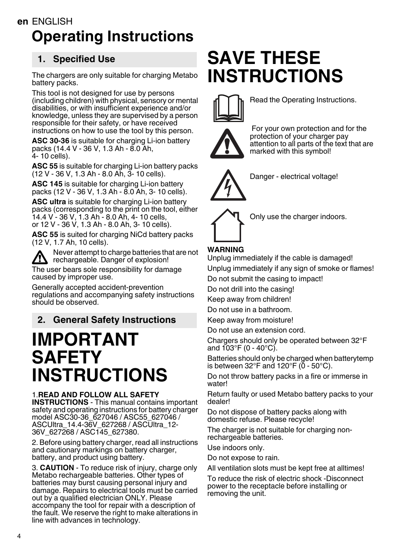# <span id="page-3-0"></span>**en** ENGLISH **Operating Instructions**

# **1. Specified Use**

The chargers are only suitable for charging Metabo battery packs.

This tool is not designed for use by persons (including children) with physical, sensory or mental disabilities, or with insufficient experience and/or knowledge, unless they are supervised by a person responsible for their safety, or have received instructions on how to use the tool by this person.

**ASC 30-36** is suitable for charging Li-ion battery packs (14.4 V - 36 V, 1.3 Ah - 8.0 Ah, 4- 10 cells).

**ASC 55** is suitable for charging Li-ion battery packs (12 V - 36 V, 1.3 Ah - 8.0 Ah, 3- 10 cells).

**ASC 145** is suitable for charging Li-ion battery packs (12 V - 36 V, 1.3 Ah - 8.0 Ah, 3- 10 cells).

**ASC ultra** is suitable for charging Li-ion battery packs (corresponding to the print on the tool, either 14.4 V - 36 V, 1.3 Ah - 8.0 Ah, 4- 10 cells, or 12 V - 36 V, 1.3 Ah - 8.0 Ah, 3- 10 cells).

**ASC 55** is suited for charging NiCd battery packs (12 V, 1.7 Ah, 10 cells).

Never attempt to charge batteries that are not rechargeable. Danger of explosion! The user bears sole responsibility for damage caused by improper use.

Generally accepted accident-prevention regulations and accompanying safety instructions should be observed.

# **2. General Safety Instructions**

# **IMPORTANT SAFETY INSTRUCTIONS**

#### 1.**READ AND FOLLOW ALL SAFETY**

**INSTRUCTIONS** - This manual contains important safety and operating instructions for battery charger model ASC30-36\_627046 / ASC55\_627046 / ASCUltra\_14.4-36V\_627268 / ASCUltra\_12- 36V\_627268 / ASC145\_627380.

2. Before using battery charger, read all instructions and cautionary markings on battery charger, battery, and product using battery.

3. **CAUTION** - To reduce risk of injury, charge only Metabo rechargeable batteries. Other types of batteries may burst causing personal injury and damage. Repairs to electrical tools must be carried out by a qualified electrician ONLY. Please accompany the tool for repair with a description of the fault. We reserve the right to make alterations in line with advances in technology.

# **SAVE THESE INSTRUCTIONS**



Read the Operating Instructions.



 For your own protection and for the protection of your charger pay attention to all parts of the text that are marked with this symbol!



Danger - electrical voltage!



Only use the charger indoors.

# **WARNING**

Unplug immediately if the cable is damaged! Unplug immediately if any sign of smoke or flames!

Do not submit the casing to impact!

Do not drill into the casing!

Keep away from children!

Do not use in a bathroom.

Keep away from moisture!

Do not use an extension cord.

Chargers should only be operated between 32°F and 103°F (0 - 40°C).

Batteries should only be charged when batterytemp is between  $32^{\circ}$ F and  $120^{\circ}$ F (0 - 50 $^{\circ}$ C).

Do not throw battery packs in a fire or immerse in water!

Return faulty or used Metabo battery packs to your dealer!

Do not dispose of battery packs along with domestic refuse. Please recycle!

The charger is not suitable for charging nonrechargeable batteries.

Use indoors only.

Do not expose to rain.

All ventilation slots must be kept free at alltimes!

To reduce the risk of electric shock -Disconnect power to the receptacle before installing or removing the unit.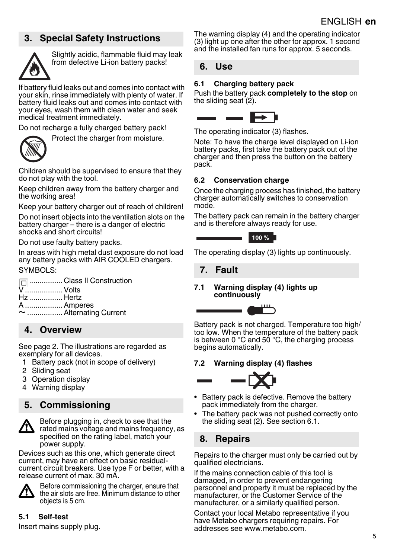# **3. Special Safety Instructions**



Slightly acidic, flammable fluid may leak from defective Li-ion battery packs!

If battery fluid leaks out and comes into contact with your skin, rinse immediately with plenty of water. If battery fluid leaks out and comes into contact with your eyes, wash them with clean water and seek medical treatment immediately.

Protect the charger from moisture.

Do not recharge a fully charged battery pack!



Children should be supervised to ensure that they do not play with the tool.

Keep children away from the battery charger and the working area!

Keep your battery charger out of reach of children!

Do not insert objects into the ventilation slots on the battery charger – there is a danger of electric shocks and short circuits!

Do not use faulty battery packs.

In areas with high metal dust exposure do not load any battery packs with AIR COOLED chargers. SYMBOLS:

**n...............** Class II Construction

V .................. Volts

- Hz ................ Hertz
- A .................. Amperes
- ~................. Alternating Current

# **4. Overview**

See page 2. The illustrations are regarded as exemplary for all devices.

- 1 Battery pack (not in scope of delivery)
- <span id="page-4-2"></span>2 Sliding seat
- <span id="page-4-1"></span>3 Operation display
- <span id="page-4-0"></span>4 Warning display

# **5. Commissioning**



Before plugging in, check to see that the rated mains voltage and mains frequency, as specified on the rating label, match your power supply.

Devices such as this one, which generate direct current, may have an effect on basic residualcurrent circuit breakers. Use type F or better, with a release current of max. 30 mA.



Before commissioning the charger, ensure that the air slots are free. Minimum distance to other objects is 5 cm.

#### **5.1 Self-test**

Insert mains supply plug.

The warning displa[y \(4\)](#page-4-0) and the operating indicator (3) light up one after the other for approx. 1 second [and](#page-4-1) the installed fan runs for approx. 5 seconds.

#### **6. Use**

#### <span id="page-4-3"></span>**6.1 Charging battery pack**

Push the battery pack **completely to the stop** on the sliding seat  $(2)$ .



The operating indicato[r \(3\)](#page-4-1) flashes.

Note: To have the charge level displayed on Li-ion battery packs, first take the battery pack out of the charger and then press the button on the battery pack.

#### **6.2 Conservation charge**

Once the charging process has finished, the battery charger automatically switches to conservation mode.

The battery pack can remain in the battery charger and is therefore always ready for use.



The operating display [\(3\)](#page-4-1) lights up continuously.

### **7. Fault**

#### **7.1 Warning displa[y \(4\)](#page-4-0) lights up continuously**



Battery pack is not charged. Temperature too high/ too low. When the temperature of the battery pack is between 0  $\degree$ C and 50  $\degree$ C, the charging process begins automatically.

#### **7.2 Warning displa[y \(4\)](#page-4-0) flashes**



- Battery pack is defective. Remove the battery pack immediately from the charger.
- The battery pack was not pushed correctly onto the sliding sea[t \(2\).](#page-4-2) See section [6.1.](#page-4-3)

# **8. Repairs**

Repairs to the charger must only be carried out by qualified electricians.

If the mains connection cable of this tool is damaged, in order to prevent endangering personnel and property it must be replaced by the manufacturer, or the Customer Service of the manufacturer, or a similarly qualified person.

Contact your local Metabo representative if you have Metabo chargers requiring repairs. For addresses see www.metabo.com.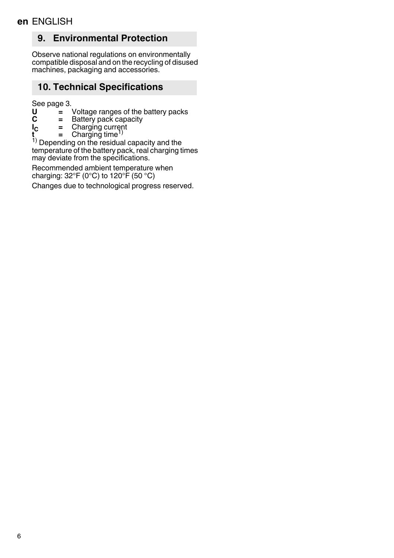# **9. Environmental Protection**

Observe national regulations on environmentally compatible disposal and on the recycling of disused machines, packaging and accessories.

# **10. Technical Specifications**

See page 3.

- **U =** Voltage ranges of the battery packs
- **C =** Battery pack capacity
- **IC =** Charging current **t** = Charging current<br> **t** = Charging time<sup>1)</sup>
- 

1) Depending on the residual capacity and the temperature of the battery pack, real charging times may deviate from the specifications.

Recommended ambient temperature when charging:  $32^{\circ}F(0^{\circ}C)$  to  $120^{\circ}F(50^{\circ}C)$ 

Changes due to technological progress reserved.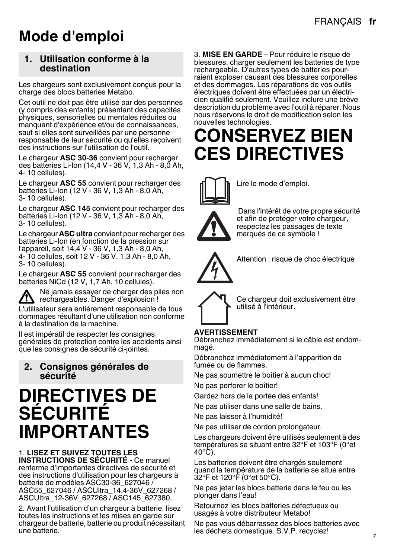# <span id="page-6-0"></span>**Mode d'emploi**

#### **1. Utilisation conforme à la destination**

Les chargeurs sont exclusivement conçus pour la charge des blocs batteries Metabo.

Cet outil ne doit pas être utilisé par des personnes (y compris des enfants) présentant des capacités physiques, sensorielles ou mentales réduites ou manquant d'expérience et/ou de connaissances, sauf si elles sont surveillées par une personne responsable de leur sécurité ou qu'elles reçoivent des instructions sur l'utilisation de l'outil.

Le chargeur **ASC 30-36** convient pour recharger des batteries Li-Ion (14,4 V - 36 V, 1,3 Ah - 8,0 Ah, 4- 10 cellules).

Le chargeur **ASC 55** convient pour recharger des batteries Li-Ion (12 V - 36 V, 1,3 Ah - 8,0 Ah, 3- 10 cellules).

Le chargeur **ASC 145** convient pour recharger des batteries Li-Ion (12 V - 36 V, 1,3 Ah - 8,0 Ah, 3- 10 cellules).

Le chargeur **ASC ultra** convient pour recharger des batteries Li-Ion (en fonction de la pression sur l'appareil, soit 14,4 V - 36 V, 1,3 Ah - 8,0 Ah, 4- 10 cellules, soit 12 V - 36 V, 1,3 Ah - 8,0 Ah, 3- 10 cellules).

Le chargeur **ASC 55** convient pour recharger des batteries NiCd (12 V, 1,7 Ah, 10 cellules).

Ne jamais essayer de charger des piles non  $\sqrt{N}$  rechargeables. Danger d'explosion ! L'utilisateur sera entièrement responsable de tous

dommages résultant d'une utilisation non conforme à la destination de la machine.

Il est impératif de respecter les consignes générales de protection contre les accidents ainsi que les consignes de sécurité ci-jointes.

#### **2. Consignes générales de sécurité**

# **DIRECTIVES DE SÉCURITÉ IMPORTANTES**

#### 1. **LISEZ ET SUIVEZ TOUTES LES**

**INSTRUCTIONS DE SÉCURITÉ -** Ce manuel renferme d'importantes directives de sécurité et des instructions d'utilisation pour les chargeurs à batterie de modèles ASC30-36\_627046 / ASC55\_627046 / ASCUltra\_14.4-36V\_627268 / ASCUltra\_12-36V\_627268 / ASC145\_627380.

2. Avant l'utilisation d'un chargeur à batterie, lisez toutes les instructions et les mises en garde sur chargeur de batterie, batterie ou produit nécessitant une batterie.

3. **MISE EN GARDE** – Pour réduire le risque de blessures, charger seulement les batteries de type rechargeable. D'autres types de batteries pourraient exploser causant des blessures corporelles et des dommages. Les réparations de vos outils électriques doivent être effectuées par un électricien qualifié seulement. Veuillez inclure une brève description du problème avec l'outil à réparer. Nous nous réservons le droit de modification selon les nouvelles technologies.

# **CONSERVEZ BIEN CES DIRECTIVES**



Lire le mode d'emploi.

 Dans l'intérêt de votre propre sécurité et afin de protéger votre chargeur, respectez les passages de texte marqués de ce symbole !



Attention : risque de choc électrique



Ce chargeur doit exclusivement être utilisé à l'intérieur.

#### **AVERTISSEMENT**

Débranchez immédiatement si le câble est endommagé.

Débranchez immédiatement à l'apparition de fumée ou de flammes.

Ne pas soumettre le boîtier à aucun choc! Ne pas perforer le boîtier!

Gardez hors de la portée des enfants!

Ne pas utiliser dans une salle de bains.

Ne pas laisser à l'humidité!

Ne pas utiliser de cordon prolongateur.

Les chargeurs doivent être utilisés seulement à des températures se situant entre 32°F et 103°F (0°et  $40^{\circ}$ C).

Les batteries doivent être chargés seulement quand la température de la batterie se situe entre 32°F et 120°F (0°et 50°C).

Ne pas jeter les blocs batterie dans le feu ou les plonger dans l'eau!

Retournez les blocs batteries défectueux ou usagés à votre distributeur Metabo!

Ne pas vous débarrassez des blocs batteries avec les déchets domestique. S.V.P. recyclez!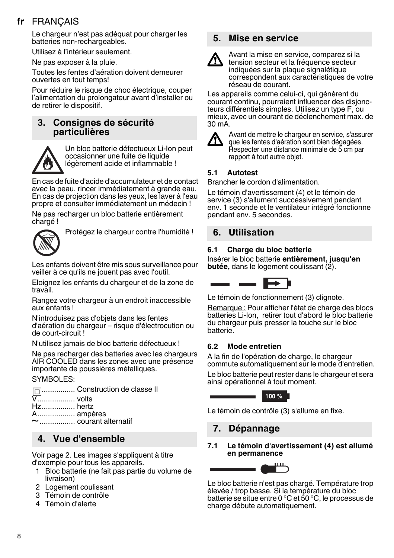# **fr** FRANÇAIS

Le chargeur n'est pas adéquat pour charger les batteries non-rechargeables.

Utilisez à l'intérieur seulement.

Ne pas exposer à la pluie.

Toutes les fentes d'aération doivent demeurer ouvertes en tout temps!

Pour réduire le risque de choc électrique, couper l'alimentation du prolongateur avant d'installer ou de retirer le dispositif.

### **3. Consignes de sécurité particulières**



Un bloc batterie défectueux Li-Ion peut occasionner une fuite de liquide légèrement acide et inflammable !

En cas de fuite d'acide d'accumulateur et de contact avec la peau, rincer immédiatement à grande eau. En cas de projection dans les yeux, les laver à l'eau propre et consulter immédiatement un médecin !

Ne pas recharger un bloc batterie entièrement chargé !



Protégez le chargeur contre l'humidité !

Les enfants doivent être mis sous surveillance pour veiller à ce qu'ils ne jouent pas avec l'outil.

Eloignez les enfants du chargeur et de la zone de travail.

Rangez votre chargeur à un endroit inaccessible aux enfants !

N'introduisez pas d'objets dans les fentes d'aération du chargeur – risque d'électrocution ou de court-circuit !

N'utilisez jamais de bloc batterie défectueux !

Ne pas recharger des batteries avec les chargeurs AIR COOLED dans les zones avec une présence importante de poussières métalliques.

#### SYMBOLES:

| □  Construction de classe II |
|------------------------------|
|                              |
|                              |
|                              |
|                              |
|                              |

# **4. Vue d'ensemble**

Voir page 2. Les images s'appliquent à titre d'exemple pour tous les appareils.

- 1 Bloc batterie (ne fait pas partie du volume de livraison)
- <span id="page-7-2"></span>2 Logement coulissant
- <span id="page-7-1"></span>3 Témoin de contrôle
- <span id="page-7-0"></span>4 Témoin d'alerte

### **5. Mise en service**



Avant la mise en service, comparez si la tension secteur et la fréquence secteur indiquées sur la plaque signalétique correspondent aux caractéristiques de votre réseau de courant.

Les appareils comme celui-ci, qui génèrent du courant continu, pourraient influencer des disjoncteurs différentiels simples. Utilisez un type F, ou mieux, avec un courant de déclenchement max. de 30 mA.



Avant de mettre le chargeur en service, s'assurer que les fentes d'aération sont bien dégagées. Respecter une distance minimale de 5 cm par rapport à tout autre objet.

#### **5.1 Autotest**

Brancher le cordon d'alimentation.

Le témoin d'avertissemen[t \(4\)](#page-7-0) et le témoin de servic[e \(3\)](#page-7-1) s'allument successivement pendant env. 1 seconde et le ventilateur intégré fonctionne pendant env. 5 secondes.

#### **6. Utilisation**

#### <span id="page-7-3"></span>**6.1 Charge du bloc batterie**

Insérer le bloc batterie **entièrement, jusqu'en butée**, dans le logement coulissant [\(2\)](#page-7-2).



Le témoin de fonctionnemen[t \(3\)](#page-7-1) clignote.

Remarque : Pour afficher l'état de charge des blocs batteries Li-Ion, retirer tout d'abord le bloc batterie du chargeur puis presser la touche sur le bloc batterie.

#### **6.2 Mode entretien**

A la fin de l'opération de charge, le chargeur commute automatiquement sur le mode d'entretien.

Le bloc batterie peut rester dans le chargeur et sera ainsi opérationnel à tout moment.

100 %

Le témoin de contrôl[e \(3\)](#page-7-1) s'allume en fixe.

#### **7. Dépannage**

**7.1 Le témoin d'avertissemen[t \(4\)](#page-7-0) est allumé en permanence**



Le bloc batterie n'est pas chargé. Température trop élevée / trop basse. Si la température du bloc batterie se situe entre 0 °C et 50 °C, le processus de charge débute automatiquement.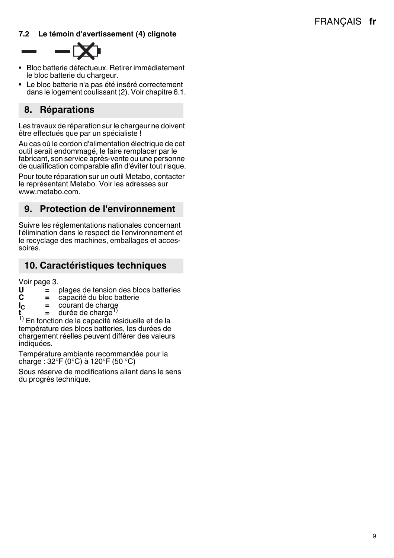#### **7.2 Le témoin d'avertissemen[t \(4\)](#page-7-0) clignote**



- Bloc batterie défectueux. Retirer immédiatement le bloc batterie du chargeur.
- Le bloc batterie n'a pas été inséré correctement dans le logement coulissant [\(2\).](#page-7-2) Voir chapitre [6.1](#page-7-3).

# **8. Réparations**

×

Les travaux de réparation sur le chargeur ne doivent être effectués que par un spécialiste !

Au cas où le cordon d'alimentation électrique de cet outil serait endommagé, le faire remplacer par le fabricant, son service après-vente ou une personne de qualification comparable afin d'éviter tout risque.

Pour toute réparation sur un outil Metabo, contacter le représentant Metabo. Voir les adresses sur www.metabo.com.

# **9. Protection de l'environnement**

Suivre les réglementations nationales concernant l'élimination dans le respect de l'environnement et le recyclage des machines, emballages et accessoires.

### **10. Caractéristiques techniques**

Voir page 3.

- **U =** plages de tension des blocs batteries
- **C** = capacité du bloc batterie<br> **l<sub>C</sub>** = courant de charge
- **I<sub>C</sub>** = courant de charge
- durée de charge

1) En fonction de la capacité résiduelle et de la température des blocs batteries, les durées de chargement réelles peuvent différer des valeurs indiquées.

Température ambiante recommandée pour la charge : 32°F (0°C) à 120°F (50 °C)

Sous réserve de modifications allant dans le sens du progrès technique.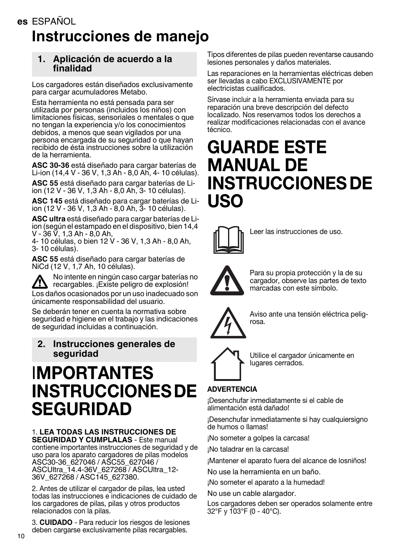# <span id="page-9-0"></span>**es** ESPAÑOL **Instrucciones de manejo**

#### **1. Aplicación de acuerdo a la finalidad**

Los cargadores están diseñados exclusivamente para cargar acumuladores Metabo.

Esta herramienta no está pensada para ser utilizada por personas (incluidos los niños) con limitaciones físicas, sensoriales o mentales o que no tengan la experiencia y/o los conocimientos debidos, a menos que sean vigilados por una persona encargada de su seguridad o que hayan recibido de ésta instrucciones sobre la utilización de la herramienta.

**ASC 30-36** está diseñado para cargar baterías de Li-ion (14,4 V - 36 V, 1,3 Ah - 8,0 Ah, 4- 10 células).

**ASC 55** está diseñado para cargar baterías de Liion (12 V - 36 V, 1,3 Ah - 8,0 Ah, 3- 10 células).

**ASC 145** está diseñado para cargar baterías de Liion (12 V - 36 V, 1,3 Ah - 8,0 Ah, 3- 10 células).

**ASC ultra** está diseñado para cargar baterías de Liion (según el estampado en el dispositivo, bien 14,4 V - 36 V, 1,3 Ah - 8,0 Ah,

4- 10 células, o bien 12 V - 36 V, 1,3 Ah - 8,0 Ah, 3- 10 células).

**ASC 55** está diseñado para cargar baterías de NiCd (12 V, 1,7 Ah, 10 células).

No intente en ningún caso cargar baterías no recargables. ¡Existe peligro de explosión!

Los daños ocasionados por un uso inadecuado son únicamente responsabilidad del usuario.

Se deberán tener en cuenta la normativa sobre seguridad e higiene en el trabajo y las indicaciones de seguridad incluidas a continuación.

#### **2. Instrucciones generales de seguridad**

# I**MPORTANTES INSTRUCCIONES DE SEGURIDAD**

#### 1. **LEA TODAS LAS INSTRUCCIONES DE**

**SEGURIDAD Y CUMPLALAS** - Este manual contiene importantes instrucciones de seguridad y de uso para los aparato cargadores de pilas modelos ASC30-36\_627046 / ASC55\_627046 / ASCUltra\_14.4-36V\_627268 / ASCUltra\_12- 36V\_627268 / ASC145\_627380.

2. Antes de utilizar el cargador de pilas, lea usted todas las instrucciones e indicaciones de cuidado de los cargadores de pilas, pilas y otros productos relacionados con la pilas.

3. **CUIDADO** - Para reducir los riesgos de lesiones deben cargarse exclusivamente pilas recargables.

Tipos diferentes de pilas pueden reventarse causando lesiones personales y daños materiales.

Las reparaciones en la herramientas eléctricas deben ser llevadas a cabo EXCLUSIVAMENTE por electricistas cualificados.

Sírvase incluir a la herramienta enviada para su reparación una breve descripción del defecto localizado. Nos reservamos todos los derechos a realizar modificaciones relacionadas con el avance técnico.

# **GUARDE ESTE MANUAL DE INSTRUCCIONES DE USO**



Leer las instrucciones de uso.



Para su propia protección y la de su cargador, observe las partes de texto marcadas con este símbolo.



Aviso ante una tensión eléctrica peligrosa.



Utilice el cargador únicamente en lugares cerrados.

# **ADVERTENCIA**

¡Desenchufar inmediatamente si el cable de alimentación está dañado!

¡Desenchufar inmediatamente si hay cualquiersigno de humos o llamas!

¡No someter a golpes la carcasa!

¡No taladrar en la carcasa!

¡Mantener el aparato fuera del alcance de losniños!

No use la herramienta en un baño.

¡No someter el aparato a la humedad!

No use un cable alargador.

Los cargadores deben ser operados solamente entre 32°F y 103°F (0 - 40°C).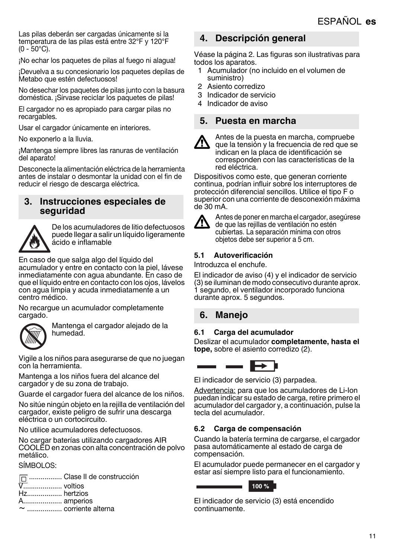Las pilas deberán ser cargadas únicamente si la temperatura de las pilas está entre 32°F y 120°F  $(0 - 50^{\circ}$ C).

¡No echar los paquetes de pilas al fuego ni alagua!

¡Devuelva a su concesionario los paquetes depilas de Metabo que estén defectuosos!

No desechar los paquetes de pilas junto con la basura doméstica. ¡Sírvase reciclar los paquetes de pilas!

El cargador no es apropiado para cargar pilas no recargables.

Usar el cargador únicamente en interiores.

No exponerlo a la lluvia.

¡Mantenga siempre libres las ranuras de ventilación del aparato!

Desconecte la alimentación eléctrica de la herramienta antes de instalar o desmontar la unidad con el fin de reducir el riesgo de descarga eléctrica.

#### **3. Instrucciones especiales de seguridad**



De los acumuladores de litio defectuosos puede llegar a salir un líquido ligeramente ácido e inflamable

En caso de que salga algo del líquido del acumulador y entre en contacto con la piel, lávese inmediatamente con agua abundante. En caso de que el líquido entre en contacto con los ojos, lávelos con agua limpia y acuda inmediatamente a un centro médico.

No recargue un acumulador completamente cargado.



Mantenga el cargador alejado de la humedad.

Vigile a los niños para asegurarse de que no juegan con la herramienta.

Mantenga a los niños fuera del alcance del cargador y de su zona de trabajo.

Guarde el cargador fuera del alcance de los niños.

No sitúe ningún objeto en la rejilla de ventilación del cargador, existe peligro de sufrir una descarga eléctrica o un cortocircuito.

No utilice acumuladores defectuosos.

No cargar baterías utilizando cargadores AIR COOLED en zonas con alta concentración de polvo metálico.

#### SÍMBOLOS:

|                   | m  Clase II de construcción |
|-------------------|-----------------------------|
| <b>V.</b> voltios |                             |
| Hz hertzios       |                             |
| A amperios        |                             |
|                   |                             |
|                   |                             |

### **4. Descripción general**

Véase la página 2. Las figuras son ilustrativas para todos los aparatos.

- 1 Acumulador (no incluido en el volumen de suministro)
- <span id="page-10-2"></span>2 Asiento corredizo
- <span id="page-10-1"></span>3 Indicador de servicio
- <span id="page-10-0"></span>4 Indicador de aviso

#### **5. Puesta en marcha**



Antes de la puesta en marcha, compruebe que la tensión y la frecuencia de red que se indican en la placa de identificación se corresponden con las características de la red eléctrica.

Dispositivos como este, que generan corriente continua, podrían influir sobre los interruptores de protección diferencial sencillos. Utilice el tipo F o superior con una corriente de desconexión máxima de 30 mA.



Antes de poner en marcha el cargador, asegúrese de que las rejillas de ventilación no estén cubiertas. La separación mínima con otros objetos debe ser superior a 5 cm.

#### **5.1 Autoverificación**

Introduzca el enchufe.

El indicador de aviso [\(4\)](#page-10-0) y el indicador de servicio (3) se iluminan de modo consecutivo durante apro[x.](#page-10-1)  [1 s](#page-10-1)egundo, el ventilador incorporado funciona durante aprox. 5 segundos.

# **6. Manejo**

#### <span id="page-10-3"></span>**6.1 Carga del acumulador**

Deslizar el acumulador **completamente, hasta el tope,** sobre el asiento corrediz[o \(2\).](#page-10-2)



El indicador de servici[o \(3\)](#page-10-1) parpadea.

Advertencia: para que los acumuladores de Li-Ion puedan indicar su estado de carga, retire primero el acumulador del cargador y, a continuación, pulse la tecla del acumulador.

#### **6.2 Carga de compensación**

Cuando la batería termina de cargarse, el cargador pasa automáticamente al estado de carga de compensación.

El acumulador puede permanecer en el cargador y estar así siempre listo para el funcionamiento.



El indicador de servici[o \(3\)](#page-10-1) está encendido continuamente.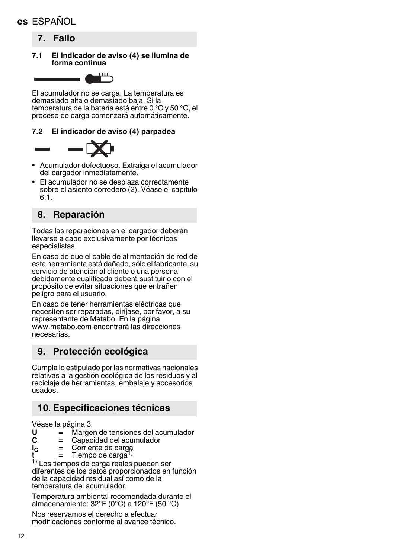# **es** ESPAÑOL

- **7. Fallo**
- **7.1 El indicador de aviso [\(4\)](#page-10-0) se ilumina de forma continua**



El acumulador no se carga. La temperatura es demasiado alta o demasiado baja. Si la temperatura de la batería está entre 0 °C y 50 °C, el proceso de carga comenzará automáticamente.

#### **7.2 El indicador de aviso [\(4\)](#page-10-0) parpadea**



- Acumulador defectuoso. Extraiga el acumulador del cargador inmediatamente.
- El acumulador no se desplaza correctamente sobre el asiento corredero [\(2\)](#page-10-2). Véase el capítulo [6.1.](#page-10-3)

# **8. Reparación**

Todas las reparaciones en el cargador deberán llevarse a cabo exclusivamente por técnicos especialistas.

En caso de que el cable de alimentación de red de esta herramienta está dañado, sólo el fabricante, su servicio de atención al cliente o una persona debidamente cualificada deberá sustituirlo con el propósito de evitar situaciones que entrañen peligro para el usuario.

En caso de tener herramientas eléctricas que necesiten ser reparadas, diríjase, por favor, a su representante de Metabo. En la página www.metabo.com encontrará las direcciones necesarias.

# **9. Protección ecológica**

Cumpla lo estipulado por las normativas nacionales relativas a la gestión ecológica de los residuos y al reciclaje de herramientas, embalaje y accesorios usados.

# **10. Especificaciones técnicas**

Véase la página 3.<br>U = Marge

- **U =** Margen de tensiones del acumulador
- **C =** Capacidad del acumulador
- **IC =** Corriente de carga
- Tiempo de carga<sup>1)</sup>

1) Los tiempos de carga reales pueden ser diferentes de los datos proporcionados en función de la capacidad residual así como de la temperatura del acumulador.

Temperatura ambiental recomendada durante el almacenamiento: 32°F (0°C) a 120°F (50 °C)

Nos reservamos el derecho a efectuar modificaciones conforme al avance técnico.